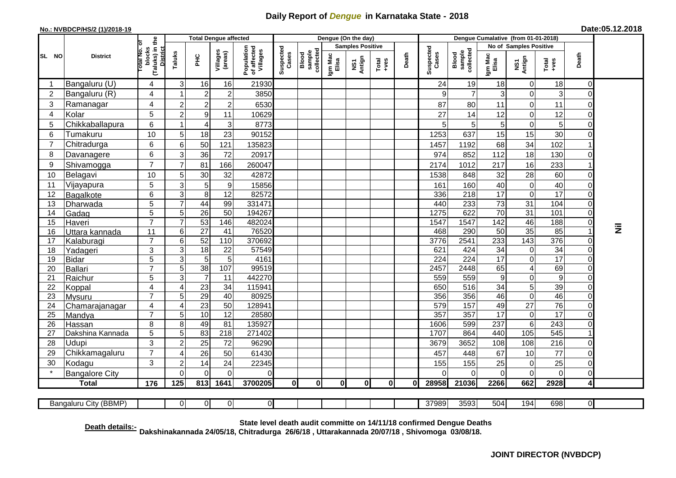## **Daily Report of** *Dengue* **in Karnataka State - 2018**

## **No.: NVBDCP/HS/2 (1)/2018-19**

| Date:05.12.2018 |  |  |  |
|-----------------|--|--|--|
|-----------------|--|--|--|

|                |                          |                                                             |                | <b>Total Dengue affected</b>       |                     |                                       | Dengue (On the day) |                              |                  |               |                                                              |       |                    |                              |                        |                  |                                                                                                                                                                                                                                                                                                                                                                                                             |                                  |           |
|----------------|--------------------------|-------------------------------------------------------------|----------------|------------------------------------|---------------------|---------------------------------------|---------------------|------------------------------|------------------|---------------|--------------------------------------------------------------|-------|--------------------|------------------------------|------------------------|------------------|-------------------------------------------------------------------------------------------------------------------------------------------------------------------------------------------------------------------------------------------------------------------------------------------------------------------------------------------------------------------------------------------------------------|----------------------------------|-----------|
|                |                          |                                                             |                |                                    |                     | <b>Samples Positive</b>               |                     |                              |                  |               |                                                              |       |                    |                              | No of Samples Positive |                  |                                                                                                                                                                                                                                                                                                                                                                                                             |                                  |           |
| SL NO          | <b>District</b>          | (Taluks) in the<br>otal No. of<br>blocks<br><b>District</b> | Taluks         | ŦЕ                                 | Villages<br>(areas) | Population<br>of affected<br>Villages | Suspected<br>Cases  | collected<br>sample<br>Blood | Igm Mac<br>Elisa | NS1<br>Antign | $\begin{array}{c}\n\text{Total} \\ \text{Area}\n\end{array}$ | Death | Suspected<br>Cases | Blood<br>sample<br>collected | Igm Mac<br>Elisa       | NS1<br>Antign    | $\begin{array}{c}\n\text{Total} \\ \text{1-3} \\ \text{1-4} \\ \text{1-5} \\ \text{1-6} \\ \text{1-6} \\ \text{1-6} \\ \text{1-6} \\ \text{1-6} \\ \text{1-6} \\ \text{1-6} \\ \text{1-6} \\ \text{1-6} \\ \text{1-6} \\ \text{1-6} \\ \text{1-6} \\ \text{1-6} \\ \text{1-6} \\ \text{1-6} \\ \text{1-6} \\ \text{1-6} \\ \text{1-6} \\ \text{1-6} \\ \text{1-6} \\ \text{1-6} \\ \text{1-6} \\ \text{1-6$ | Death                            |           |
|                | Bangaluru (U)            | 4                                                           | 3 <sup>1</sup> | 16                                 | 16                  | 21930                                 |                     |                              |                  |               |                                                              |       | 24                 | 19                           | 18                     | 0                | 18                                                                                                                                                                                                                                                                                                                                                                                                          | $\overline{0}$                   |           |
| $\overline{2}$ | Bangaluru (R)            | 4                                                           |                | $\overline{2}$                     | $\overline{2}$      | 3850                                  |                     |                              |                  |               |                                                              |       | 9                  | $\overline{7}$               | 3                      | $\mathbf 0$      | $\mathbf{3}$                                                                                                                                                                                                                                                                                                                                                                                                | $\Omega$                         |           |
| 3              | Ramanagar                | 4                                                           | $\overline{c}$ | $\overline{c}$                     | $\overline{c}$      | 6530                                  |                     |                              |                  |               |                                                              |       | 87                 | 80                           | 11                     | $\mathbf 0$      | 11                                                                                                                                                                                                                                                                                                                                                                                                          | $\Omega$                         |           |
| $\overline{4}$ | Kolar                    | 5                                                           | $\overline{2}$ | 9                                  | 11                  | 10629                                 |                     |                              |                  |               |                                                              |       | 27                 | 14                           | 12                     | $\mathbf 0$      | 12                                                                                                                                                                                                                                                                                                                                                                                                          | $\overline{0}$                   |           |
| 5              | Chikkaballapura          | 6                                                           | -1             | 4                                  | $\sqrt{3}$          | 8773                                  |                     |                              |                  |               |                                                              |       | 5                  | 5                            | $\overline{5}$         | $\mathbf 0$      | 5                                                                                                                                                                                                                                                                                                                                                                                                           | $\Omega$                         |           |
| 6              | Tumakuru                 | 10                                                          | 5              | 18                                 | 23                  | 90152                                 |                     |                              |                  |               |                                                              |       | 1253               | 637                          | 15                     | 15               | 30                                                                                                                                                                                                                                                                                                                                                                                                          | $\Omega$                         |           |
| $\overline{7}$ | Chitradurga              | 6                                                           | $6\phantom{1}$ | 50                                 | 121                 | 135823                                |                     |                              |                  |               |                                                              |       | 1457               | 1192                         | 68                     | 34               | 102                                                                                                                                                                                                                                                                                                                                                                                                         |                                  |           |
| 8              | Davanagere               | 6                                                           | 3              | 36                                 | 72                  | 20917                                 |                     |                              |                  |               |                                                              |       | 974                | 852                          | 112                    | 18               | 130                                                                                                                                                                                                                                                                                                                                                                                                         | $\overline{0}$                   |           |
| 9              | Shivamogga               | $\overline{7}$                                              | $\overline{7}$ | 81                                 | 166                 | 260047                                |                     |                              |                  |               |                                                              |       | 2174               | 1012                         | 217                    | 16               | 233                                                                                                                                                                                                                                                                                                                                                                                                         |                                  |           |
| 10             | Belagavi                 | 10                                                          | 5              | 30                                 | 32                  | 42872                                 |                     |                              |                  |               |                                                              |       | 1538               | 848                          | 32                     | 28               | 60                                                                                                                                                                                                                                                                                                                                                                                                          | $\Omega$                         |           |
| 11             | Vijayapura               | 5                                                           | 3              | 5                                  | $\boldsymbol{9}$    | 15856                                 |                     |                              |                  |               |                                                              |       | 161                | 160                          | 40                     | $\mathbf 0$      | 40                                                                                                                                                                                                                                                                                                                                                                                                          | ΩI                               |           |
| 12             | Bagalkote                | 6                                                           | 3              | 8                                  | $\overline{12}$     | 82572                                 |                     |                              |                  |               |                                                              |       | 336                | $\overline{218}$             | 17                     | $\mathbf 0$      | $\overline{17}$                                                                                                                                                                                                                                                                                                                                                                                             | $\overline{0}$                   |           |
| 13             | Dharwada                 | $\overline{5}$                                              | $\overline{7}$ | 44                                 | 99                  | 331471                                |                     |                              |                  |               |                                                              |       | 440                | 233                          | 73                     | 31               | 104                                                                                                                                                                                                                                                                                                                                                                                                         | $\overline{0}$                   |           |
| 14             | Gadag                    | $\overline{5}$                                              | 5 <sup>5</sup> | 26                                 | $\overline{50}$     | 194267                                |                     |                              |                  |               |                                                              |       | 1275               | 622                          | 70                     | $\overline{31}$  | 101                                                                                                                                                                                                                                                                                                                                                                                                         | $\overline{0}$                   |           |
| 15             | Haveri                   | $\overline{7}$                                              | $\overline{7}$ | 53                                 | 146                 | 482024                                |                     |                              |                  |               |                                                              |       | 1547               | 1547                         | 142                    | 46               | 188                                                                                                                                                                                                                                                                                                                                                                                                         | $\overline{0}$                   |           |
| 16             | Uttara kannada           | 11                                                          | 6              | $\overline{27}$                    | 41                  | 76520                                 |                     |                              |                  |               |                                                              |       | 468                | 290                          | 50                     | 35               | 85                                                                                                                                                                                                                                                                                                                                                                                                          |                                  | $\bar{z}$ |
| 17             | Kalaburagi               | $\overline{7}$                                              | 6              | 52                                 | 110                 | 370692                                |                     |                              |                  |               |                                                              |       | 3776               | 2541                         | 233                    | 143              | 376                                                                                                                                                                                                                                                                                                                                                                                                         | $\overline{0}$                   |           |
| 18             | Yadageri                 | 3                                                           | 3              | 18                                 | 22                  | 57549                                 |                     |                              |                  |               |                                                              |       | 621                | 424                          | 34                     | $\mathbf 0$      | $\overline{34}$                                                                                                                                                                                                                                                                                                                                                                                             | $\overline{0}$                   |           |
| 19             | <b>Bidar</b>             | $\overline{5}$                                              | 3              | $5\phantom{1}$                     | 5                   | 4161                                  |                     |                              |                  |               |                                                              |       | 224                | $\overline{224}$             | $\overline{17}$        | $\boldsymbol{0}$ | 17                                                                                                                                                                                                                                                                                                                                                                                                          | $\overline{0}$                   |           |
| 20             | Ballari                  | $\overline{7}$                                              | 5              | $\overline{38}$                    | 107                 | 99519                                 |                     |                              |                  |               |                                                              |       | 2457               | 2448                         | 65                     | $\overline{4}$   | 69                                                                                                                                                                                                                                                                                                                                                                                                          | $\overline{0}$                   |           |
| 21             | Raichur                  | 5                                                           | 3              | $\overline{7}$                     | 11                  | 442270                                |                     |                              |                  |               |                                                              |       | 559                | 559                          | $\overline{9}$         | $\mathbf 0$      | 9                                                                                                                                                                                                                                                                                                                                                                                                           | $\overline{0}$                   |           |
| 22             | Koppal                   | $\overline{4}$<br>$\overline{7}$                            | 4              | $\overline{23}$                    | 34<br>40            | 115941<br>80925                       |                     |                              |                  |               |                                                              |       | 650                | 516<br>356                   | $\overline{34}$<br>46  | 5<br>$\pmb{0}$   | 39<br>46                                                                                                                                                                                                                                                                                                                                                                                                    | $\overline{0}$<br>$\overline{0}$ |           |
| 23<br>24       | Mysuru                   | 4                                                           | 5<br>4         | $\overline{29}$<br>$\overline{23}$ | 50                  | 128941                                |                     |                              |                  |               |                                                              |       | 356<br>579         | 157                          | 49                     | $\overline{27}$  | 76                                                                                                                                                                                                                                                                                                                                                                                                          | $\overline{0}$                   |           |
| 25             | Chamarajanagar<br>Mandya | $\overline{7}$                                              | 5              | 10                                 | 12                  | 28580                                 |                     |                              |                  |               |                                                              |       | 357                | 357                          | 17                     | $\mathbf 0$      | 17                                                                                                                                                                                                                                                                                                                                                                                                          | $\overline{0}$                   |           |
| 26             | Hassan                   | 8                                                           | 8              | 49                                 | 81                  | 135927                                |                     |                              |                  |               |                                                              |       | 1606               | 599                          | 237                    | $6\phantom{1}6$  | 243                                                                                                                                                                                                                                                                                                                                                                                                         | $\overline{0}$                   |           |
| 27             | Dakshina Kannada         | 5                                                           | 5              | 83                                 | 218                 | 271402                                |                     |                              |                  |               |                                                              |       | 1707               | 864                          | 440                    | 105              | 545                                                                                                                                                                                                                                                                                                                                                                                                         |                                  |           |
| 28             | Udupi                    | 3                                                           | 2              | 25                                 | 72                  | 96290                                 |                     |                              |                  |               |                                                              |       | 3679               | 3652                         | 108                    | 108              | 216                                                                                                                                                                                                                                                                                                                                                                                                         | ΟI                               |           |
| 29             | Chikkamagaluru           | $\overline{7}$                                              | Δ              | 26                                 | 50                  | 61430                                 |                     |                              |                  |               |                                                              |       | 457                | 448                          | 67                     | 10               | 77                                                                                                                                                                                                                                                                                                                                                                                                          | ΟI                               |           |
| 30             | Kodagu                   | 3                                                           | $\overline{c}$ | 14                                 | 24                  | 22345                                 |                     |                              |                  |               |                                                              |       | 155                | 155                          | 25                     | 0                | 25                                                                                                                                                                                                                                                                                                                                                                                                          | $\overline{0}$                   |           |
|                | <b>Bangalore City</b>    |                                                             | $\Omega$       | $\Omega$                           | $\Omega$            | $\Omega$                              |                     |                              |                  |               |                                                              |       | $\Omega$           | $\Omega$                     | $\mathbf 0$            | $\mathbf 0$      | $\mathbf 0$                                                                                                                                                                                                                                                                                                                                                                                                 | $\overline{0}$                   |           |
|                | <b>Total</b>             | 176                                                         | 125            | 813                                | 1641                | 3700205                               | $\mathbf{0}$        | $\mathbf{0}$                 | $\mathbf{0}$     | $\mathbf{0}$  | 0l                                                           | 0l    | 28958              | 21036                        | 2266                   | 662              | 2928                                                                                                                                                                                                                                                                                                                                                                                                        | $\vert$                          |           |
|                |                          |                                                             |                |                                    |                     |                                       |                     |                              |                  |               |                                                              |       |                    |                              |                        |                  |                                                                                                                                                                                                                                                                                                                                                                                                             |                                  |           |
|                | Bangaluru City (BBMP)    |                                                             | ΟI             | $\Omega$                           | $\overline{0}$      | $\overline{0}$                        |                     |                              |                  |               |                                                              |       | 37989              | 3593                         | 504                    | 194              | 698                                                                                                                                                                                                                                                                                                                                                                                                         | $\overline{\mathbf{0}}$          |           |

**Death details:- State level death audit committe on 14/11/18 confirmed Dengue Deaths Dakshinakannada 24/05/18, Chitradurga 26/6/18 , Uttarakannada 20/07/18 , Shivomoga 03/08/18.**